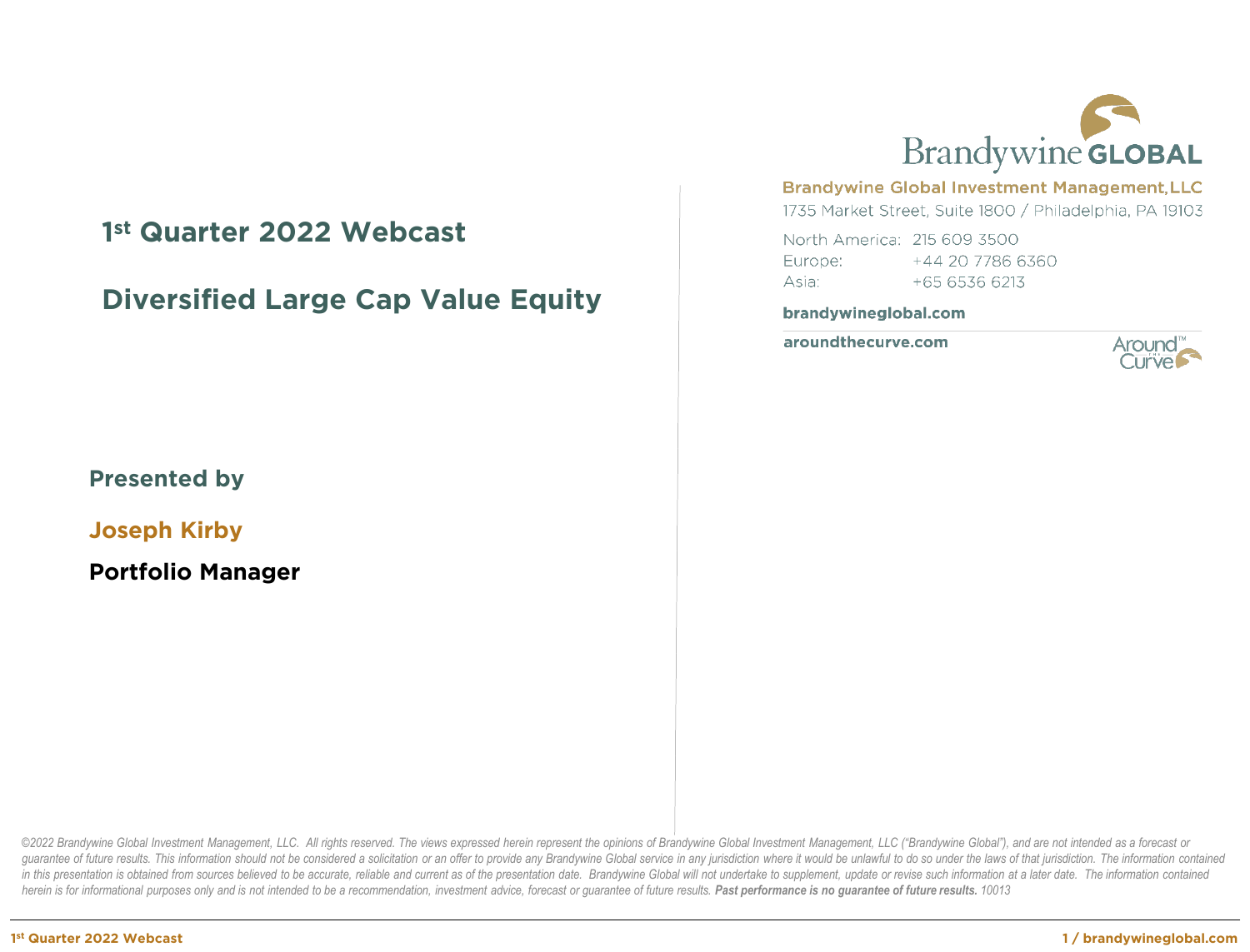# **1st Quarter 2022 Webcast**

# **Diversified Large Cap Value Equity**



**Joseph Kirby**

**Portfolio Manager**



#### **Brandywine Global Investment Management, LLC**

1735 Market Street, Suite 1800 / Philadelphia, PA 19103

North America: 215 609 3500 Europe: +44 20 7786 6360 Asia:  $+6565366213$ 

#### brandywineglobal.com

aroundthecurve.com



©2022 Brandywine Global Investment Management, LLC. All rights reserved. The views expressed herein represent the opinions of Brandywine Global Investment Management, LLC ("Brandywine Global"), and are not intended as a fo guarantee of future results. This information should not be considered a solicitation or an offer to provide any Brandywine Global service in any jurisdiction where it would be unlawful to do so under the laws of that juri in this presentation is obtained from sources believed to be accurate, reliable and current as of the presentation date. Brandywine Global will not undertake to supplement, update or revise such information at a later date herein is for informational purposes only and is not intended to be a recommendation, investment advice, forecast or quarantee of future results. **Past performance is no quarantee of future results.** 10013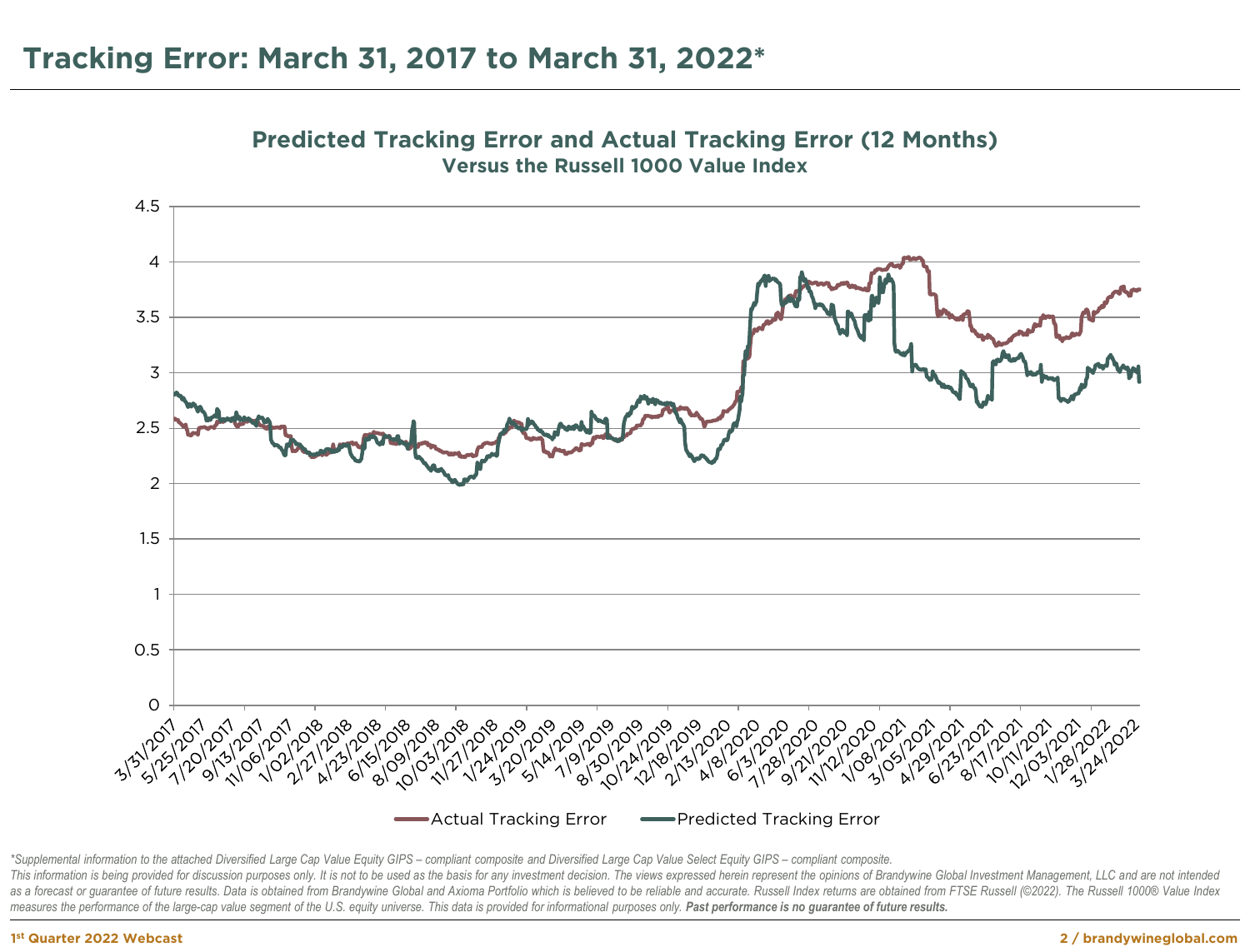



\*Supplemental information to the attached Diversified Large Cap Value Equity GIPS - compliant composite and Diversified Large Cap Value Select Equity GIPS - compliant composite. This information is being provided for discussion purposes only. It is not to be used as the basis for any investment decision. The views expressed herein represent the opinions of Brandywine Global Investment Management, as a forecast or guarantee of future results. Data is obtained from Brandywine Global and Axioma Portfolio which is believed to be reliable and accurate. Russell Index returns are obtained from FTSE Russell (@2022). The Ru measures the performance of the large-cap value segment of the U.S. equity universe. This data is provided for informational purposes only. Past performance is no guarantee of future results.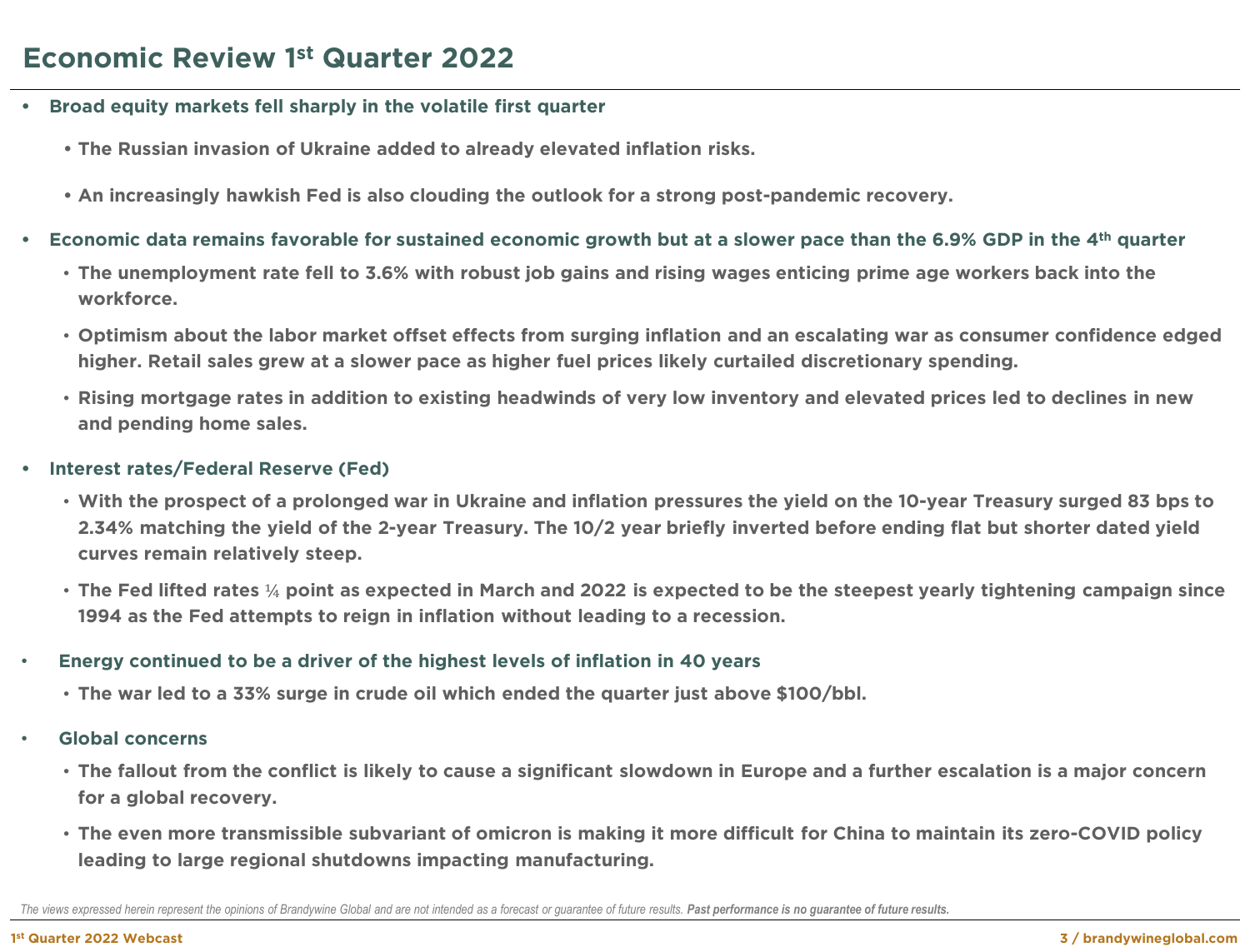- **• Broad equity markets fell sharply in the volatile first quarter**
	- **• The Russian invasion of Ukraine added to already elevated inflation risks.**
	- **• An increasingly hawkish Fed is also clouding the outlook for a strong post-pandemic recovery.**
- **• Economic data remains favorable for sustained economic growth but at a slower pace than the 6.9% GDP in the 4th quarter**
	- **The unemployment rate fell to 3.6% with robust job gains and rising wages enticing prime age workers back into the workforce.**
	- **Optimism about the labor market offset effects from surging inflation and an escalating war as consumer confidence edged higher. Retail sales grew at a slower pace as higher fuel prices likely curtailed discretionary spending.**
	- **Rising mortgage rates in addition to existing headwinds of very low inventory and elevated prices led to declines in new and pending home sales.**
- **• Interest rates/Federal Reserve (Fed)**
	- **With the prospect of a prolonged war in Ukraine and inflation pressures the yield on the 10-year Treasury surged 83 bps to 2.34% matching the yield of the 2-year Treasury. The 10/2 year briefly inverted before ending flat but shorter dated yield curves remain relatively steep.**
	- **The Fed lifted rates** ¼ **point as expected in March and 2022 is expected to be the steepest yearly tightening campaign since 1994 as the Fed attempts to reign in inflation without leading to a recession.**
- **Energy continued to be a driver of the highest levels of inflation in 40 years** 
	- **The war led to a 33% surge in crude oil which ended the quarter just above \$100/bbl.**
- **Global concerns**
	- **The fallout from the conflict is likely to cause a significant slowdown in Europe and a further escalation is a major concern for a global recovery.**
	- **The even more transmissible subvariant of omicron is making it more difficult for China to maintain its zero-COVID policy leading to large regional shutdowns impacting manufacturing.**

The views expressed herein represent the opinions of Brandywine Global and are not intended as a forecast or guarantee of future results. Past performance is no guarantee of future results.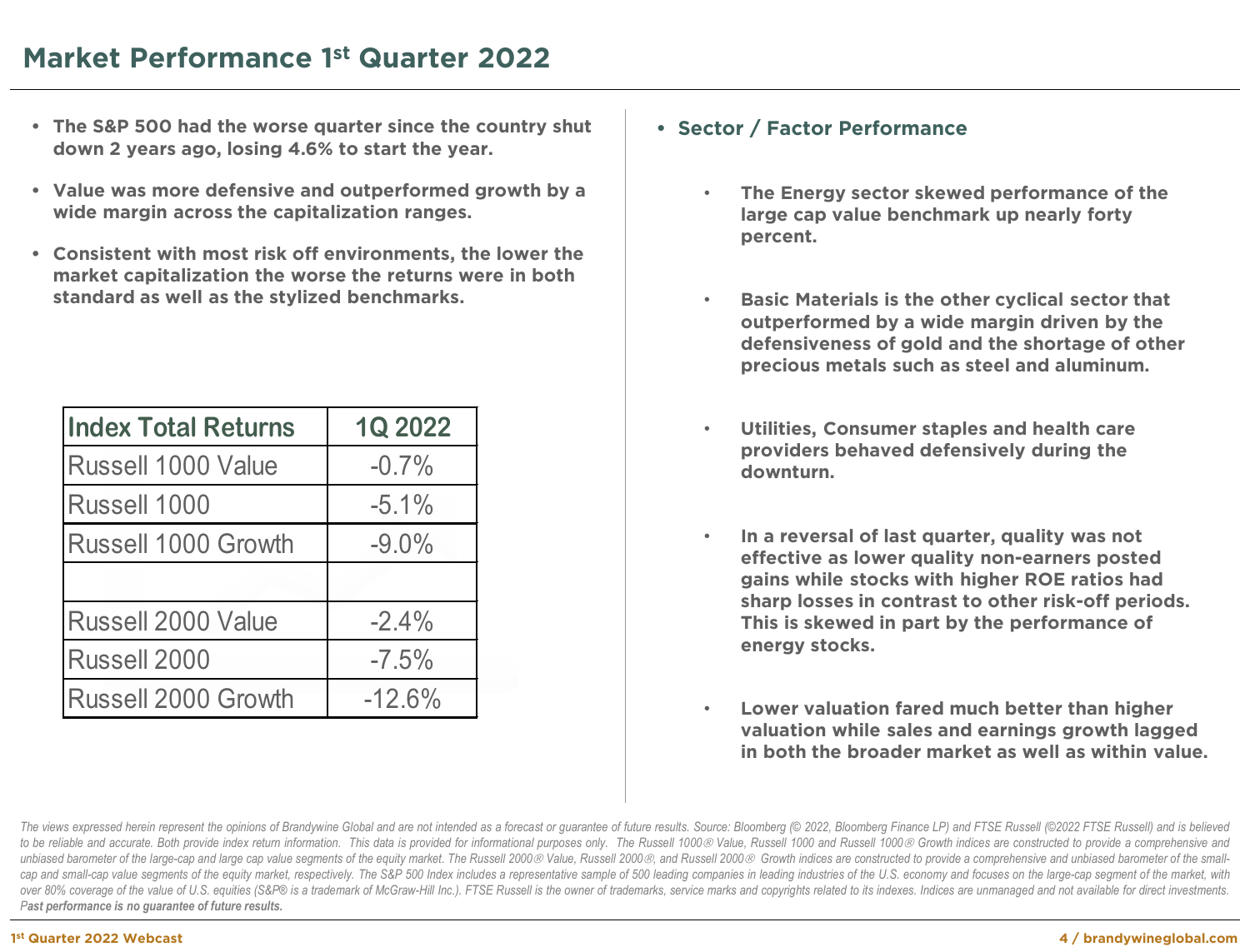# **Market Performance 1st Quarter 2022**

- **• The S&P 500 had the worse quarter since the country shut down 2 years ago, losing 4.6% to start the year.**
- **• Value was more defensive and outperformed growth by a wide margin across the capitalization ranges.**
- **• Consistent with most risk off environments, the lower the market capitalization the worse the returns were in both standard as well as the stylized benchmarks.**

| <b>Index Total Returns</b> | <b>1Q 2022</b> |
|----------------------------|----------------|
| <b>Russell 1000 Value</b>  | $-0.7%$        |
| Russell 1000               | $-5.1%$        |
| Russell 1000 Growth        | $-9.0%$        |
|                            |                |
| <b>Russell 2000 Value</b>  | $-2.4%$        |
| Russell 2000               | $-7.5%$        |
| <b>Russell 2000 Growth</b> | $-12.6%$       |

#### **• Sector / Factor Performance**

- **The Energy sector skewed performance of the large cap value benchmark up nearly forty percent.**
- **Basic Materials is the other cyclical sector that outperformed by a wide margin driven by the defensiveness of gold and the shortage of other precious metals such as steel and aluminum.**
- **Utilities, Consumer staples and health care providers behaved defensively during the downturn.**
- **In a reversal of last quarter, quality was not effective as lower quality non-earners posted gains while stocks with higher ROE ratios had sharp losses in contrast to other risk-off periods. This is skewed in part by the performance of energy stocks.**
- **Lower valuation fared much better than higher valuation while sales and earnings growth lagged in both the broader market as well as within value.**

The views expressed herein represent the opinions of Brandywine Global and are not intended as a forecast or guarantee of future results. Source: Bloomberg (© 2022, Bloomberg Finance LP) and FTSE Russell (©2022 FTSE Russel to be reliable and accurate. Both provide index return information. This data is provided for informational purposes only. The Russell 1000@ Value, Russell 1000 and Russell 1000@ Growth indices are constructed to provide a unbiased barometer of the large-cap and large cap value segments of the equity market. The Russell 2000 & Value, Russell 2000 &, and Russell 2000 & Growth indices are constructed to provide a comprehensive and unbiased bar cap and small-cap value segments of the equity market, respectively. The S&P 500 Index includes a representative sample of 500 leading companies in leading industries of the U.S. economy and focuses on the large-cap segmen over 80% coverage of the value of U.S. equities (S&P® is a trademark of McGraw-Hill Inc.). FTSE Russell is the owner of trademarks, service marks and copyrights related to its indexes. Indices are unmanaged and not availab *Past performance is no guarantee of future results.*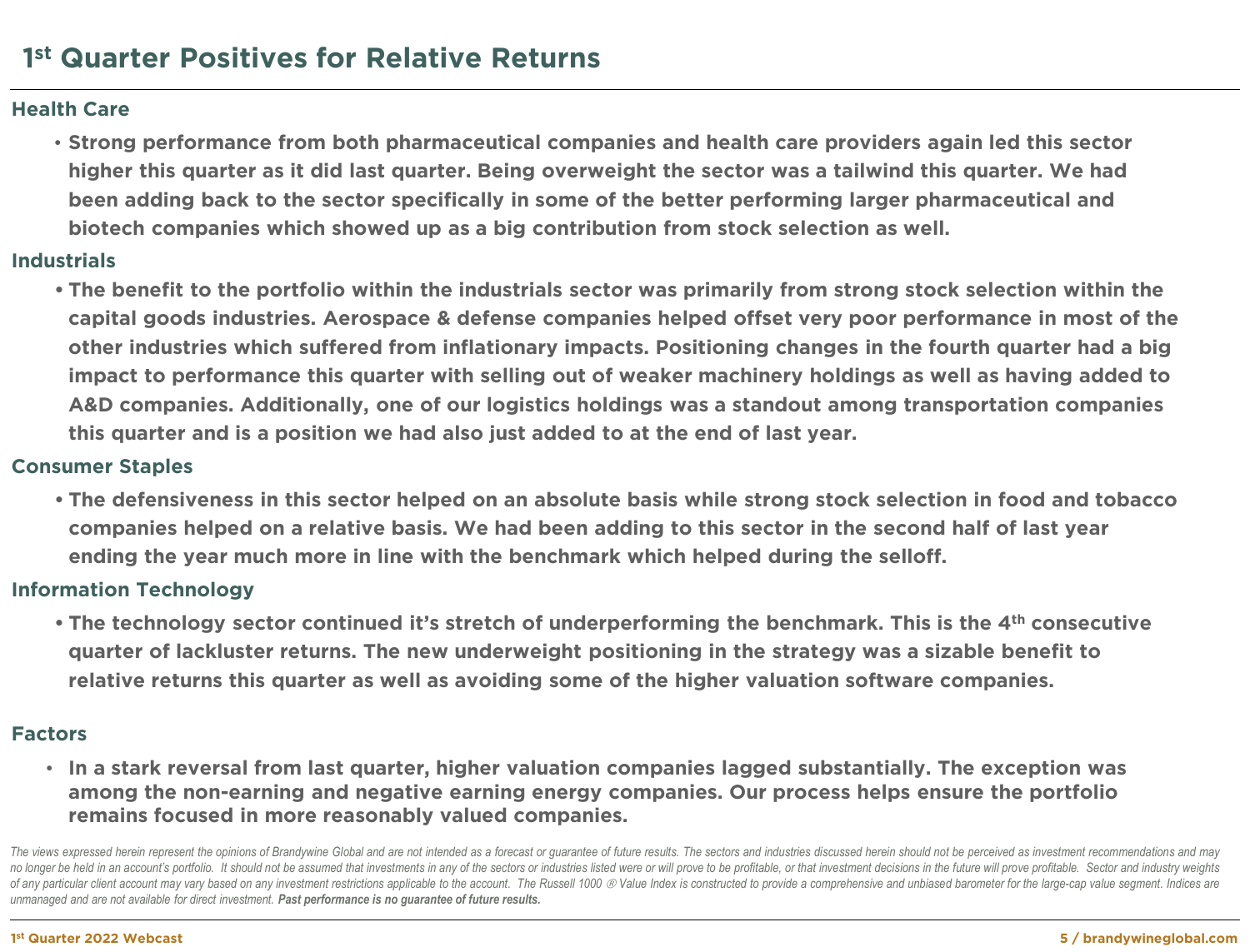#### **Health Care**

• **Strong performance from both pharmaceutical companies and health care providers again led this sector higher this quarter as it did last quarter. Being overweight the sector was a tailwind this quarter. We had been adding back to the sector specifically in some of the better performing larger pharmaceutical and biotech companies which showed up as a big contribution from stock selection as well.** 

#### **Industrials**

**• The benefit to the portfolio within the industrials sector was primarily from strong stock selection within the capital goods industries. Aerospace & defense companies helped offset very poor performance in most of the other industries which suffered from inflationary impacts. Positioning changes in the fourth quarter had a big impact to performance this quarter with selling out of weaker machinery holdings as well as having added to A&D companies. Additionally, one of our logistics holdings was a standout among transportation companies this quarter and is a position we had also just added to at the end of last year.**

#### **Consumer Staples**

**• The defensiveness in this sector helped on an absolute basis while strong stock selection in food and tobacco companies helped on a relative basis. We had been adding to this sector in the second half of last year ending the year much more in line with the benchmark which helped during the selloff.**

## **Information Technology**

**• The technology sector continued it's stretch of underperforming the benchmark. This is the 4th consecutive quarter of lackluster returns. The new underweight positioning in the strategy was a sizable benefit to relative returns this quarter as well as avoiding some of the higher valuation software companies.**

#### **Factors**

• **In a stark reversal from last quarter, higher valuation companies lagged substantially. The exception was among the non-earning and negative earning energy companies. Our process helps ensure the portfolio remains focused in more reasonably valued companies.**

The views expressed herein represent the opinions of Brandywine Global and are not intended as a forecast or quarantee of future results. The sectors and industries discussed herein should not be perceived as investment re no longer be held in an account's portfolio. It should not be assumed that investments in any of the sectors or industries listed were or will prove to be profitable, or that investment decisions in the future will prove p of any particular client account may vary based on any investment restrictions applicable to the account. The Russell 1000 @ Value Index is constructed to provide a comprehensive and unbiased barometer for the large-cap va *unmanaged and are not available for direct investment. Past performance is no guarantee of future results.*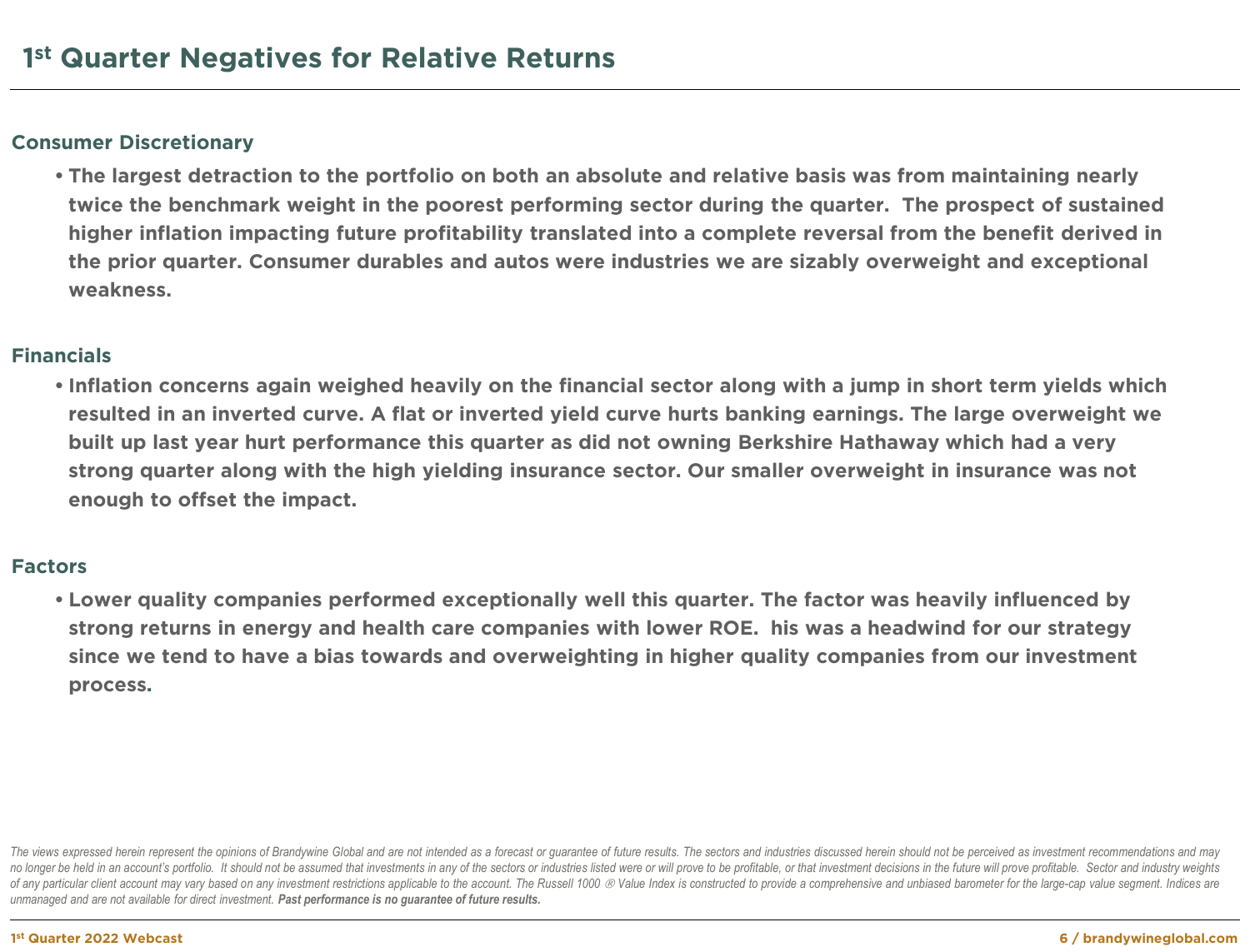## **Consumer Discretionary**

**• The largest detraction to the portfolio on both an absolute and relative basis was from maintaining nearly twice the benchmark weight in the poorest performing sector during the quarter. The prospect of sustained higher inflation impacting future profitability translated into a complete reversal from the benefit derived in the prior quarter. Consumer durables and autos were industries we are sizably overweight and exceptional weakness.**

### **Financials**

**• Inflation concerns again weighed heavily on the financial sector along with a jump in short term yields which resulted in an inverted curve. A flat or inverted yield curve hurts banking earnings. The large overweight we built up last year hurt performance this quarter as did not owning Berkshire Hathaway which had a very strong quarter along with the high yielding insurance sector. Our smaller overweight in insurance was not enough to offset the impact.**

#### **Factors**

**• Lower quality companies performed exceptionally well this quarter. The factor was heavily influenced by strong returns in energy and health care companies with lower ROE. his was a headwind for our strategy since we tend to have a bias towards and overweighting in higher quality companies from our investment process.**

The views expressed herein represent the opinions of Brandywine Global and are not intended as a forecast or guarantee of future results. The sectors and industries discussed herein should not be perceived as investment re no longer be held in an account's portfolio. It should not be assumed that investments in any of the sectors or industries listed were or will prove to be profitable, or that investment decisions in the future will prove p of any particular client account may vary based on any investment restrictions applicable to the account. The Russell 1000 @ Value Index is constructed to provide a comprehensive and unbiased barometer for the large-cap va *unmanaged and are not available for direct investment. Past performance is no guarantee of future results.*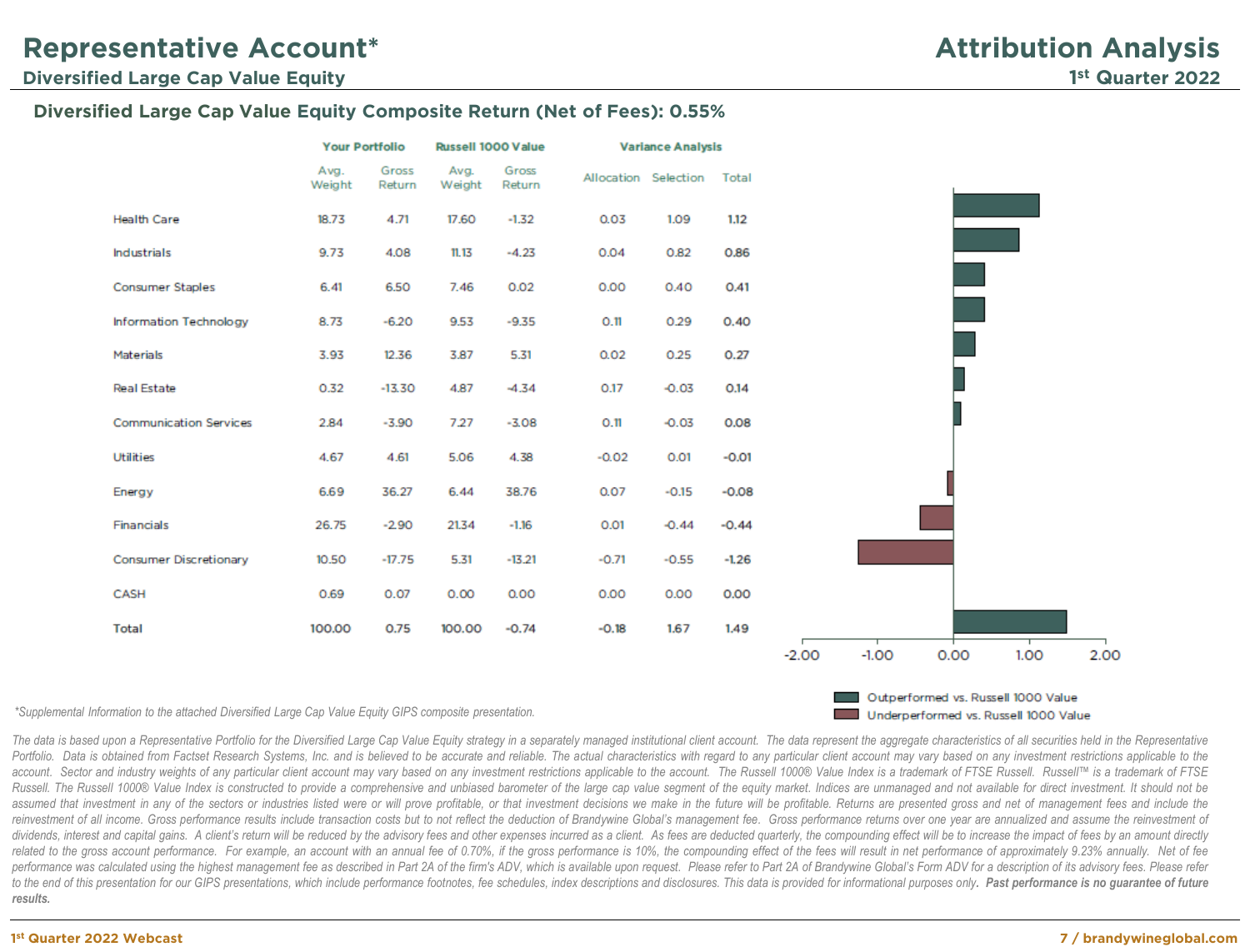#### **Diversified Large Cap Value Equity Composite Return (Net of Fees): 0.55%**



*\*Supplemental Information to the attached Diversified Large Cap Value Equity GIPS composite presentation.*

Outperformed vs. Russell 1000 Value Underperformed vs. Russell 1000 Value

The data is based upon a Representative Portfolio for the Diversified Large Cap Value Equity strategy in a separately managed institutional client account. The data represent the aggregate characteristics of all securities Portfolio. Data is obtained from Factset Research Systems, Inc. and is believed to be accurate and reliable. The actual characteristics with regard to any particular client account may vary based on any investment restrict account. Sector and industry weights of any particular client account may vary based on any investment restrictions applicable to the account. The Russell 1000® Value Index is a trademark of FTSE Russell. Russell is a tra Russell. The Russell 1000® Value Index is constructed to provide a comprehensive and unbiased barometer of the large cap value segment of the equity market. Indices are unmanaged and not available for direct investment. It assumed that investment in any of the sectors or industries listed were or will prove profitable, or that investment decisions we make in the future will be profitable. Returns are presented gross and net of management fee reinvestment of all income. Gross performance results include transaction costs but to not reflect the deduction of Brandywine Global's management fee. Gross performance returns over one year are annualized and assume the dividends, interest and capital gains. A client's return will be reduced by the advisory fees and other expenses incurred as a client. As fees are deducted quarterly, the compounding effect will be to increase the impact o related to the gross account performance. For example, an account with an annual fee of 0.70%, if the gross performance is 10%, the compounding effect of the fees will result in net performance of approximately 9.23% annua performance was calculated using the highest management fee as described in Part 2A of the firm's ADV, which is available upon request. Please refer to Part 2A of Brandywine Global's Form ADV for a description of its advis to the end of this presentation for our GIPS presentations, which include performance footnotes, fee schedules, index descriptions and disclosures. This data is provided for informational purposes only. Past performance is *results.*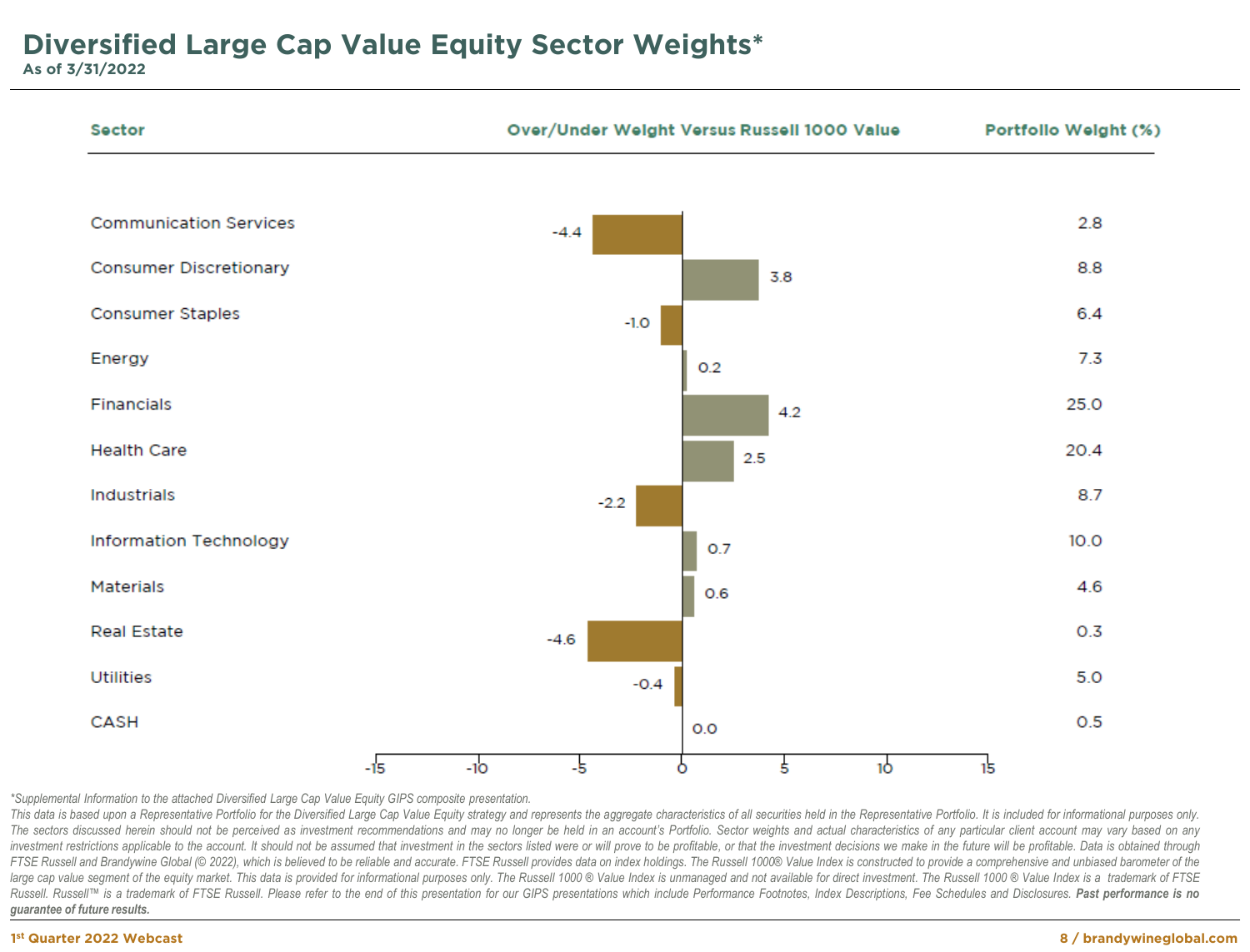**Sector** Over/Under Weight Versus Russell 1000 Value Portfollo Weight (%) **Communication Services** 2.8  $-4.4$ **Consumer Discretionary** 8.8 3.8 **Consumer Staples** 6.4  $-1.0$ Energy  $7.3$  $0.2$ **Financials** 25.0 4.2 **Health Care** 20.4 2.5 **Industrials** 87  $-2.2$ **Information Technology**  $10.0$ 0.7 **Materials** 4.6  $0.6$ **Real Estate**  $0.3$  $-4.6$ **Utilities**  $5.0$  $-0.4$ CASH  $0.5$  $O.O$  $-15$  $-10$  $-5$ 1ò 5  $15$ Ō

*\*Supplemental Information to the attached Diversified Large Cap Value Equity GIPS composite presentation.*

This data is based upon a Representative Portfolio for the Diversified Large Cap Value Equity strategy and represents the aggregate characteristics of all securities held in the Representative Portfolio. It is included for The sectors discussed herein should not be perceived as investment recommendations and may no longer be held in an account's Portfolio. Sector weights and actual characteristics of any particular client account may vary ba investment restrictions applicable to the account. It should not be assumed that investment in the sectors listed were or will prove to be profitable, or that the investment decisions we make in the future will be profitab FTSE Russell and Brandywine Global (© 2022), which is believed to be reliable and accurate. FTSE Russell provides data on index holdings. The Russell 1000® Value Index is constructed to provide a comprehensive and unbiased large cap value segment of the equity market. This data is provided for informational purposes only. The Russell 1000 ® Value Index is unmanaged and not available for direct investment. The Russell 1000 ® Value Index is a Russell. Russell™ is a trademark of FTSE Russell. Please refer to the end of this presentation for our GIPS presentations which include Performance Footnotes, Index Descriptions, Fee Schedules and Disclosures. Past perfor *guarantee of future results.*

#### **1st Quarter 2022 Webcast**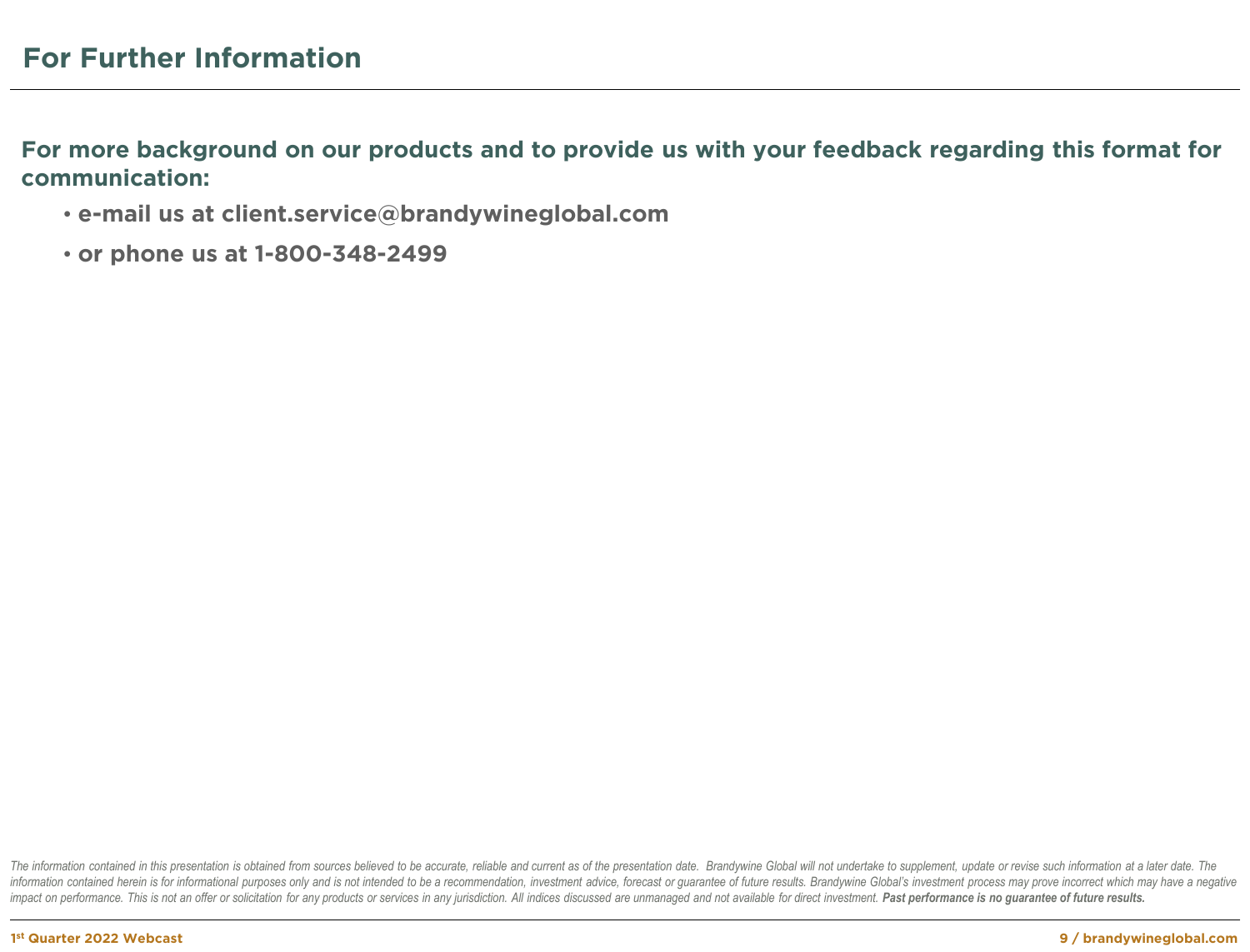**For more background on our products and to provide us with your feedback regarding this format for communication:**

- **e-mail us at client.service@brandywineglobal.com**
- **or phone us at 1-800-348-2499**

The information contained in this presentation is obtained from sources believed to be accurate, reliable and current as of the presentation date. Brandywine Global will not undertake to supplement, update or revise such i information contained herein is for informational purposes only and is not intended to be a recommendation, investment advice, forecast or guarantee of future results. Brandywine Global's investment process may prove incor impact on performance. This is not an offer or solicitation for any products or services in any jurisdiction. All indices discussed are unmanaged and not available for direct investment. Past performance is no quarantee of